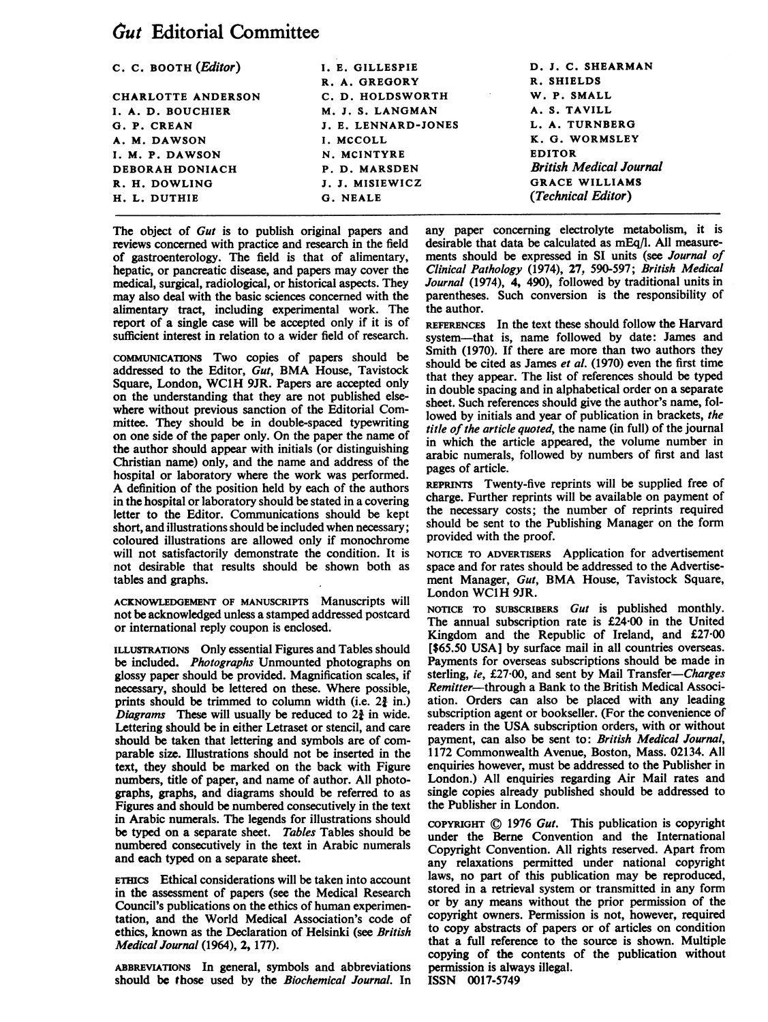# Gut Editorial Committee

| C. C. BOOTH ( <i>Editor</i> ) | I. E. GILLESPIE     | D. J. C. SHEARMAN              |
|-------------------------------|---------------------|--------------------------------|
|                               | R. A. GREGORY       | R. SHIELDS                     |
| CHARLOTTE ANDERSON            | C. D. HOLDSWORTH    | W. P. SMALL                    |
| I. A. D. BOUCHIER             | M. J. S. LANGMAN    | A. S. TAVILL                   |
| G. P. CREAN                   | J. E. LENNARD-JONES | L. A. TURNBERG                 |
| A. M. DAWSON                  | I. MCCOLL           | K. G. WORMSLEY                 |
| I. M. P. DAWSON               | N. MCINTYRE         | <b>EDITOR</b>                  |
| DEBORAH DONIACH               | P. D. MARSDEN       | <b>British Medical Journal</b> |
| R. H. DOWLING                 | J. J. MISIEWICZ     | <b>GRACE WILLIAMS</b>          |
| H. L. DUTHIE                  | G. NEALE            | (Technical Editor)             |
|                               |                     |                                |

The object of Gut is to publish original papers and reviews concerned with practice and research in the field of gastroenterology. The field is that of alimentary, hepatic, or pancreatic disease, and papers may cover the medical, surgical, radiological, or historical aspects. They may also deal with the basic sciences concerned with the alimentary tract, including experimental work. The report of a single case will be accepted only if it is of sufficient interest in relation to a wider field of research.

COMMuNICATIONS Two copies of papers should be addressed to the Editor, Gut, BMA House, Tavistock Square, London, WClH 9JR. Papers are accepted only on the understanding that they are not published elsewhere without previous sanction of the Editorial Committee. They should be in double-spaced typewriting on one side of the paper only. On the paper the name of the author should appear with initials (or distinguishing Christian name) only, and the name and address of the hospital or laboratory where the work was performed. A definition of the position held by each of the authors in the hospital or laboratory should be stated in a covering letter to the Editor. Communications should be kept short, and illustrations should be included when necessary; coloured illustrations are allowed only if monochrome will not satisfactorily demonstrate the condition. It is not desirable that results should be shown both as tables and graphs.

ACKNOWLEDGEMENT OF MANUSCRIPTS Manuscripts will not be acknowledged unless a stamped addressed postcard or international reply coupon is enclosed.

ILLUSTRATIONS Only essential Figures and Tables should be included. Photographs Unmounted photographs on glossy paper should be provided. Magnification scales, if necessary, should be lettered on these. Where possible, prints should be trimmed to column width (i.e.  $2\frac{3}{2}$  in.) Diagrams These will usually be reduced to  $2\frac{3}{2}$  in wide. Lettering should be in either Letraset or stencil, and care should be taken that lettering and symbols are of comparable size. Illustrations should not be inserted in the text, they should be marked on the back with Figure numbers, title of paper, and name of author. All photographs, graphs, and diagrams should be referred to as Figures and should be numbered consecutively in the text in Arabic numerals. The legends for illustrations should be typed on a separate sheet. Tables Tables should be numbered consecutively in the text in Arabic numerals and each typed on a separate sheet.

ETHICS Ethical considerations will be taken into account in the assessment of papers (see the Medical Research Council's publications on the ethics of human experimentation, and the World Medical Association's code of ethics, known as the Declaration of Helsinki (see British Medical Journal (1964), 2, 177).

ABBREVIATIONS In general, symbols and abbreviations should be those used by the Biochemical Journal. In any paper concerning electrolyte metabolism, it is desirable that data be calculated as mEq/l. All measurements should be expressed in SI units (see Journal of Clinical Pathology (1974), 27, 590-597; British Medical Journal (1974), 4, 490), followed by traditional units in parentheses. Such conversion is the responsibility of the author.

REFERENCES In the text these should follow the Harvard system-that is, name followed by date: James and Smith (1970). If there are more than two authors they should be cited as James et al. (1970) even the first time that they appear. The list of references should be typed in double spacing and in alphabetical order on a separate sheet. Such references should give the author's name, followed by initials and year of publication in brackets, the title of the article quoted, the name (in full) of the journal in which the article appeared, the volume number in arabic numerals, followed by numbers of first and last pages of article.

REPRINTS Twenty-five reprints will be supplied free of charge. Further reprints will be available on payment of the necessary costs; the number of reprints required should be sent to the Publishing Manager on the form provided with the proof.

NOTICE TO ADVERTISERS Application for advertisement space and for rates should be addressed to the Advertisement Manager, Gut, BMA House, Tavistock Square, London WC1H 9JR.

NOTICE TO SUBSCRIBERS Gut is published monthly. The annual subscription rate is £24-00 in the United Kingdom and the Republic of Ireland, and £27-00 [ $$65.50$  USA] by surface mail in all countries overseas. Payments for overseas subscriptions should be made in sterling, ie, £27.00, and sent by Mail Transfer-Charges Remitter-through a Bank to the British Medical Association. Orders can also be placed with any leading subscription agent or bookseller. (For the convenience of readers in the USA subscription orders, with or without payment, can also be sent to: British Medical Journal, 1172 Commonwealth Avenue, Boston, Mass. 02134. All enquiries however, must be addressed to the Publisher in London.) All enquiries regarding Air Mail rates and single copies already published should be addressed to the Publisher in London.

COPYRIGHT (© 1976 Gut. This publication is copyright under the Berne Convention and the International Copyright Convention. All rights reserved. Apart from any relaxations permitted under national copyright laws, no part of this publication may be reproduced, stored in a retrieval system or transmitted in any form or by any means without the prior permission of the copyright owners. Permission is not, however, required to copy abstracts of papers or of articles on condition that a full reference to the source is shown. Multiple copying of the contents of the publication without permission is always illegal. ISSN 0017-5749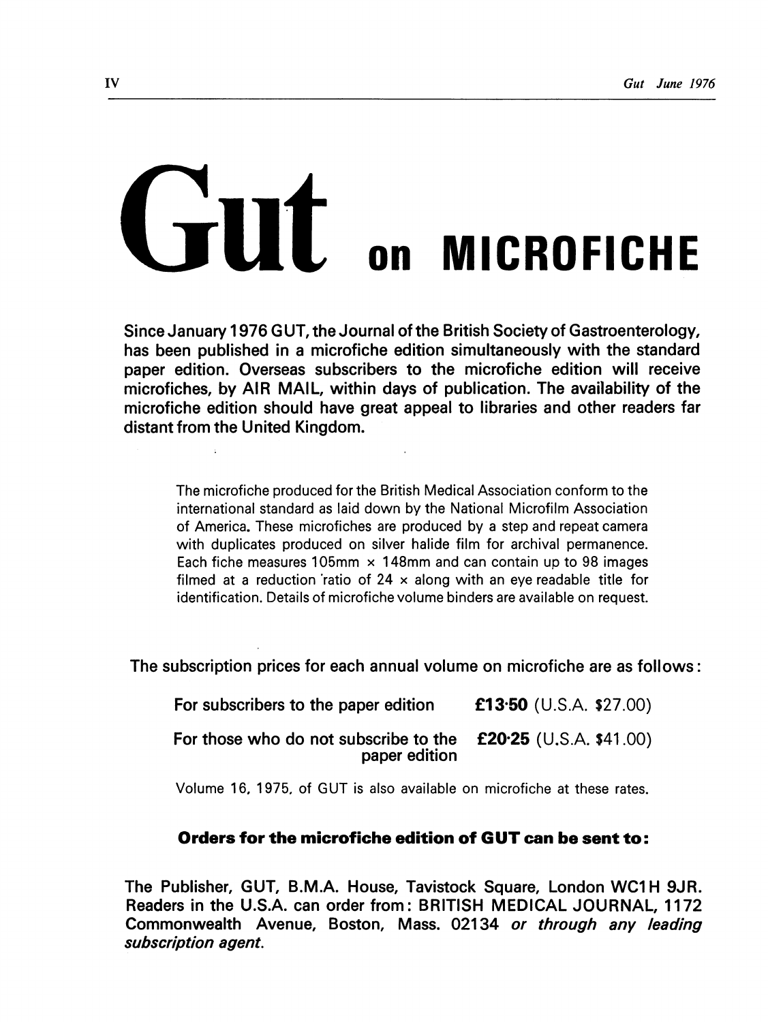# GUT ON MICROFICHE

Since January <sup>1</sup> 976 GUT, the Journal of the British Society of Gastroenterology, has been published in a microfiche edition simultaneously with the standard paper edition. Overseas subscribers to the microfiche edition will receive microfiches, by AIR MAIL, within days of publication. The availability of the microfiche edition should have great appeal to libraries and other readers far distant from the United Kingdom.

The microfiche produced for the British Medical Association conform to the international standard as laid down by the National Microfilm Association of America. These microfiches are produced by a step and repeat camera with duplicates produced on silver halide film for archival permanence. Each fiche measures 105mm  $\times$  148mm and can contain up to 98 images filmed at a reduction ratio of 24  $\times$  along with an eye readable title for identification. Details of microfiche volume binders are available on request.

The subscription prices for each annual volume on microfiche are as follows:

| For subscribers to the paper edition                                                      | £13.50 (U.S.A. \$27.00) |
|-------------------------------------------------------------------------------------------|-------------------------|
| For those who do not subscribe to the $\mathbf{f20.25}$ (U.S.A. \$41.00)<br>paper edition |                         |

Volume 16, 1975. of GUT is also available on microfiche at these rates.

## Orders for the microfiche edition of GUT can be sent to:

The Publisher, GUT, B.M.A. House, Tavistock Square, London WC1 H 9JR. Readers in the U.S.A. can order from: BRITISH MEDICAL JOURNAL, 1172 Commonwealth Avenue, Boston, Mass. 02134 or through any leading subscription agent.